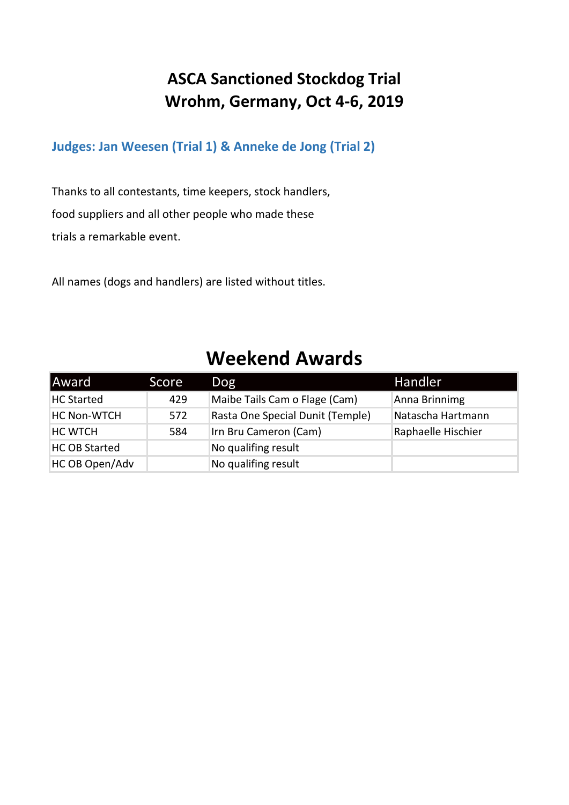#### **ASCA Sanctioned Stockdog Trial Wrohm, Germany, Oct 4-6, 2019**

**Judges: Jan Weesen (Trial 1) & Anneke de Jong (Trial 2)**

Thanks to all contestants, time keepers, stock handlers, food suppliers and all other people who made these trials a remarkable event.

All names (dogs and handlers) are listed without titles.

#### **Weekend Awards**

| Award                | Score | Dog                              | Handler            |
|----------------------|-------|----------------------------------|--------------------|
| <b>HC Started</b>    | 429   | Maibe Tails Cam o Flage (Cam)    | Anna Brinnimg      |
| <b>HC Non-WTCH</b>   | 572   | Rasta One Special Dunit (Temple) | Natascha Hartmann  |
| <b>HC WTCH</b>       | 584   | Irn Bru Cameron (Cam)            | Raphaelle Hischier |
| <b>HC OB Started</b> |       | No qualifing result              |                    |
| HC OB Open/Adv       |       | No qualifing result              |                    |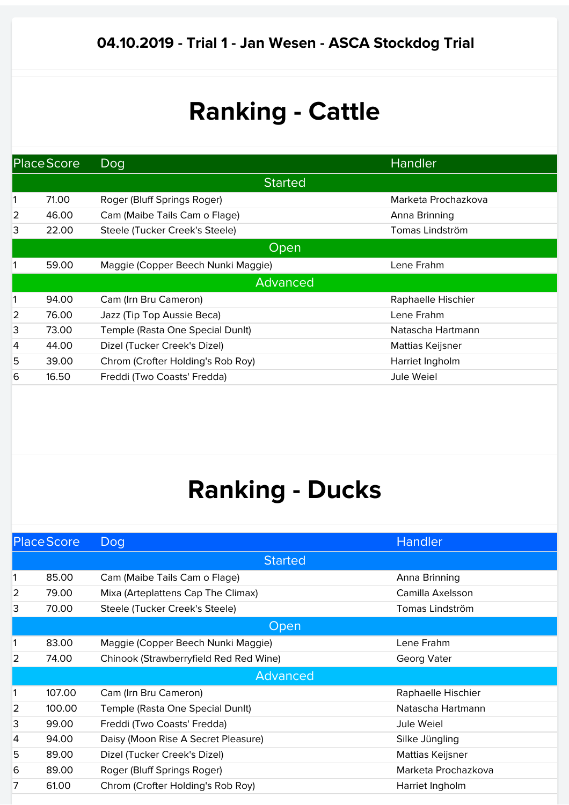|                | <b>Place Score</b> | Dog                                | Handler             |  |
|----------------|--------------------|------------------------------------|---------------------|--|
|                |                    | <b>Started</b>                     |                     |  |
| 1              | 71.00              | Roger (Bluff Springs Roger)        | Marketa Prochazkova |  |
| $\overline{2}$ | 46.00              | Cam (Maibe Tails Cam o Flage)      | Anna Brinning       |  |
| 3              | 22.00              | Steele (Tucker Creek's Steele)     | Tomas Lindström     |  |
|                | Open               |                                    |                     |  |
|                | 59.00              | Maggie (Copper Beech Nunki Maggie) | Lene Frahm          |  |
|                |                    | Advanced                           |                     |  |
| 1              | 94.00              | Cam (Irn Bru Cameron)              | Raphaelle Hischier  |  |
| $\overline{2}$ | 76.00              | Jazz (Tip Top Aussie Beca)         | Lene Frahm          |  |
| 3              | 73.00              | Temple (Rasta One Special Dunit)   | Natascha Hartmann   |  |
| $\overline{4}$ | 44.00              | Dizel (Tucker Creek's Dizel)       | Mattias Keijsner    |  |
| 5              | 39.00              | Chrom (Crofter Holding's Rob Roy)  | Harriet Ingholm     |  |
| 6              | 16.50              | Freddi (Two Coasts' Fredda)        | Jule Weiel          |  |

|                | <b>Place Score</b> | Dog                                    | Handler             |
|----------------|--------------------|----------------------------------------|---------------------|
|                |                    | <b>Started</b>                         |                     |
| 1              | 85.00              | Cam (Maibe Tails Cam o Flage)          | Anna Brinning       |
| $\overline{2}$ | 79.00              | Mixa (Arteplattens Cap The Climax)     | Camilla Axelsson    |
| 3              | 70.00              | Steele (Tucker Creek's Steele)         | Tomas Lindström     |
|                |                    | Open                                   |                     |
| 1              | 83.00              | Maggie (Copper Beech Nunki Maggie)     | Lene Frahm          |
| 2              | 74.00              | Chinook (Strawberryfield Red Red Wine) | Georg Vater         |
|                |                    | Advanced                               |                     |
| 1              | 107.00             | Cam (Irn Bru Cameron)                  | Raphaelle Hischier  |
| $\overline{2}$ | 100.00             | Temple (Rasta One Special Dunit)       | Natascha Hartmann   |
| 3              | 99.00              | Freddi (Two Coasts' Fredda)            | Jule Weiel          |
| 4              | 94.00              | Daisy (Moon Rise A Secret Pleasure)    | Silke Jüngling      |
| 5              | 89.00              | Dizel (Tucker Creek's Dizel)           | Mattias Keijsner    |
| 6              | 89.00              | Roger (Bluff Springs Roger)            | Marketa Prochazkova |
| 7              | 61.00              | Chrom (Crofter Holding's Rob Roy)      | Harriet Ingholm     |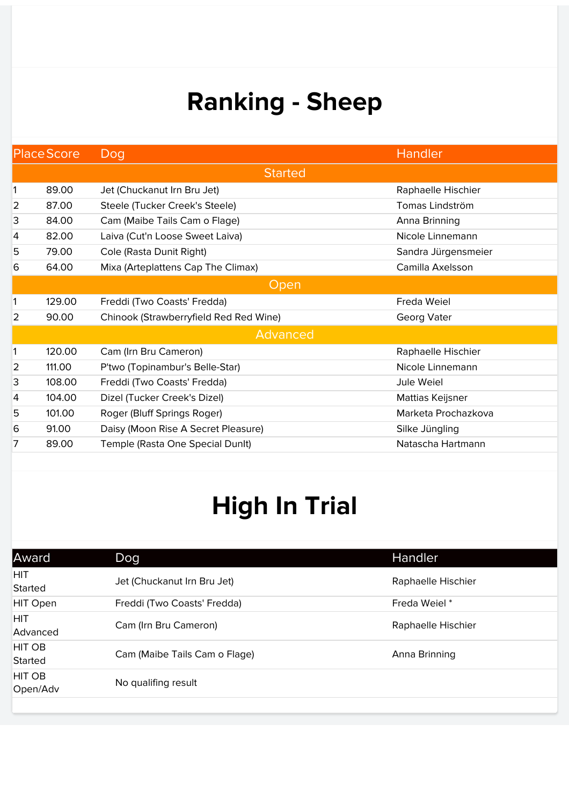|                 | <b>Place Score</b> | Dog                                    | <b>Handler</b>      |  |
|-----------------|--------------------|----------------------------------------|---------------------|--|
|                 |                    | <b>Started</b>                         |                     |  |
| 1               | 89.00              | Jet (Chuckanut Irn Bru Jet)            | Raphaelle Hischier  |  |
| 2               | 87.00              | Steele (Tucker Creek's Steele)         | Tomas Lindström     |  |
| 3               | 84.00              | Cam (Maibe Tails Cam o Flage)          | Anna Brinning       |  |
| $\vert 4 \vert$ | 82.00              | Laiva (Cut'n Loose Sweet Laiva)        | Nicole Linnemann    |  |
| 5               | 79.00              | Cole (Rasta Dunit Right)               | Sandra Jürgensmeier |  |
| 6               | 64.00              | Mixa (Arteplattens Cap The Climax)     | Camilla Axelsson    |  |
|                 |                    | Open                                   |                     |  |
| 1               | 129.00             | Freddi (Two Coasts' Fredda)            | Freda Weiel         |  |
| $\overline{2}$  | 90.00              | Chinook (Strawberryfield Red Red Wine) | Georg Vater         |  |
|                 | Advanced           |                                        |                     |  |
| 1               | 120.00             | Cam (Irn Bru Cameron)                  | Raphaelle Hischier  |  |
| $\overline{2}$  | 111.00             | P'two (Topinambur's Belle-Star)        | Nicole Linnemann    |  |
| 3               | 108.00             | Freddi (Two Coasts' Fredda)            | Jule Weiel          |  |
| 4               | 104.00             | Dizel (Tucker Creek's Dizel)           | Mattias Keijsner    |  |
| 5               | 101.00             | Roger (Bluff Springs Roger)            | Marketa Prochazkova |  |
| 6               | 91.00              | Daisy (Moon Rise A Secret Pleasure)    | Silke Jüngling      |  |
| 7               | 89.00              | Temple (Rasta One Special DunIt)       | Natascha Hartmann   |  |

| Award                  | Dog                           | <b>Handler</b>     |
|------------------------|-------------------------------|--------------------|
| <b>HIT</b><br>Started  | Jet (Chuckanut Irn Bru Jet)   | Raphaelle Hischier |
| HIT Open               | Freddi (Two Coasts' Fredda)   | Freda Weiel*       |
| <b>HIT</b><br>Advanced | Cam (Irn Bru Cameron)         | Raphaelle Hischier |
| HIT OB<br>Started      | Cam (Maibe Tails Cam o Flage) | Anna Brinning      |
| HIT OB<br>Open/Adv     | No qualifing result           |                    |
|                        |                               |                    |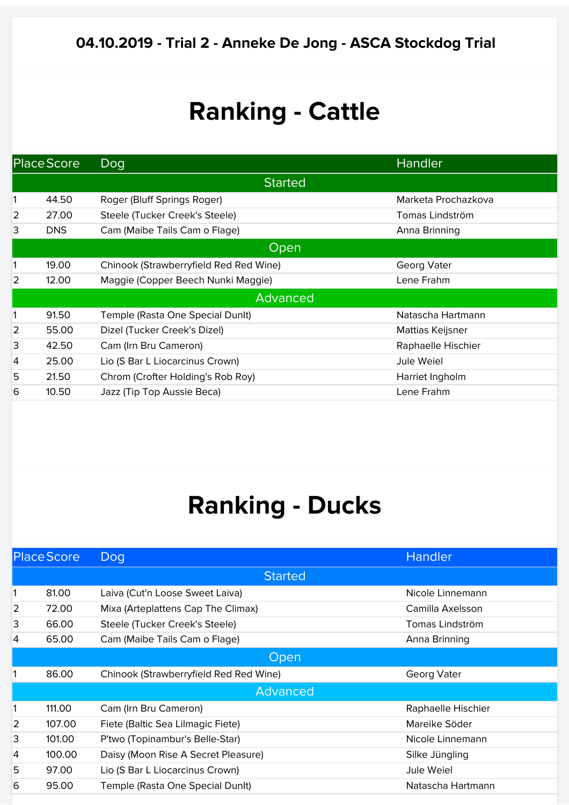|                | Place Score | Dog                                    | Handler             |  |  |
|----------------|-------------|----------------------------------------|---------------------|--|--|
|                |             | <b>Started</b>                         |                     |  |  |
|                | 44.50       | Roger (Bluff Springs Roger)            | Marketa Prochazkova |  |  |
| $\overline{2}$ | 27.00       | Steele (Tucker Creek's Steele)         | Tomas Lindström     |  |  |
| 3              | <b>DNS</b>  | Cam (Maibe Tails Cam o Flage)          | Anna Brinning       |  |  |
|                | Open        |                                        |                     |  |  |
| 1              | 19.00       | Chinook (Strawberryfield Red Red Wine) | Georg Vater         |  |  |
| $\overline{2}$ | 12.00       | Maggie (Copper Beech Nunki Maggie)     | Lene Frahm          |  |  |
|                | Advanced    |                                        |                     |  |  |
| 1              | 91.50       | Temple (Rasta One Special Dunit)       | Natascha Hartmann   |  |  |
| 2              | 55.00       | Dizel (Tucker Creek's Dizel)           | Mattias Keijsner    |  |  |
| 3              | 42.50       | Cam (Irn Bru Cameron)                  | Raphaelle Hischier  |  |  |
| 4              | 25.00       | Lio (S Bar L Liocarcinus Crown)        | Jule Weiel          |  |  |
| 5              | 21.50       | Chrom (Crofter Holding's Rob Roy)      | Harriet Ingholm     |  |  |
| 6              | 10.50       | Jazz (Tip Top Aussie Beca)             | Lene Frahm          |  |  |

|   | <b>Place Score</b> | Dog                                    | <b>Handler</b>     |
|---|--------------------|----------------------------------------|--------------------|
|   |                    | <b>Started</b>                         |                    |
|   | 81.00              | Laiva (Cut'n Loose Sweet Laiva)        | Nicole Linnemann   |
| 2 | 72.00              | Mixa (Arteplattens Cap The Climax)     | Camilla Axelsson   |
| 3 | 66.00              | Steele (Tucker Creek's Steele)         | Tomas Lindström    |
| 4 | 65.00              | Cam (Maibe Tails Cam o Flage)          | Anna Brinning      |
|   |                    | Open                                   |                    |
|   | 86.00              | Chinook (Strawberryfield Red Red Wine) | Georg Vater        |
|   |                    | Advanced                               |                    |
|   | 111.00             | Cam (Irn Bru Cameron)                  | Raphaelle Hischier |
| 2 | 107.00             | Fiete (Baltic Sea Lilmagic Fiete)      | Mareike Söder      |
| 3 | 101.00             | P'two (Topinambur's Belle-Star)        | Nicole Linnemann   |
| 4 | 100.00             | Daisy (Moon Rise A Secret Pleasure)    | Silke Jüngling     |
| 5 | 97.00              | Lio (S Bar L Liocarcinus Crown)        | Jule Weiel         |
| 6 | 95.00              | Temple (Rasta One Special Dunit)       | Natascha Hartmann  |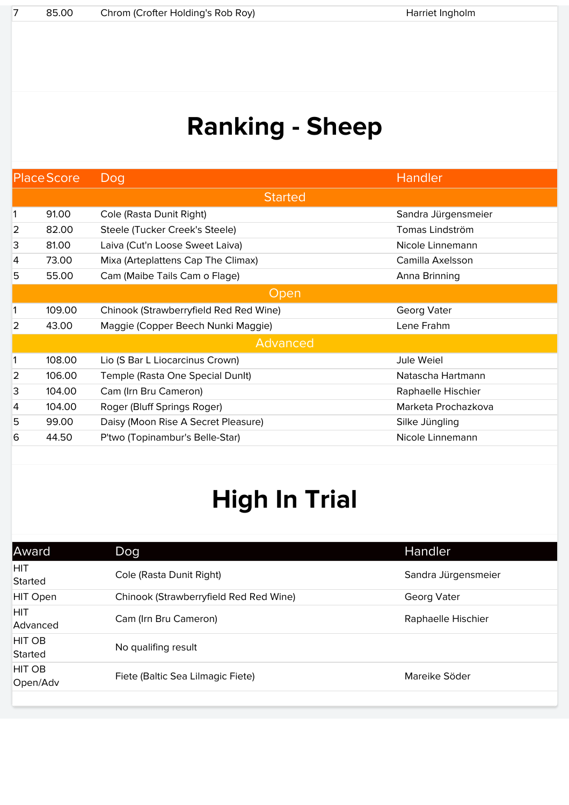|                | <b>Place Score</b> | Dog                                    | Handler             |  |
|----------------|--------------------|----------------------------------------|---------------------|--|
|                |                    | <b>Started</b>                         |                     |  |
| 1              | 91.00              | Cole (Rasta Dunit Right)               | Sandra Jürgensmeier |  |
| 2              | 82.00              | Steele (Tucker Creek's Steele)         | Tomas Lindström     |  |
| 3              | 81.00              | Laiva (Cut'n Loose Sweet Laiva)        | Nicole Linnemann    |  |
| 4              | 73.00              | Mixa (Arteplattens Cap The Climax)     | Camilla Axelsson    |  |
| 5              | 55.00              | Cam (Maibe Tails Cam o Flage)          | Anna Brinning       |  |
|                |                    | Open                                   |                     |  |
| 1              | 109.00             | Chinook (Strawberryfield Red Red Wine) | Georg Vater         |  |
| $\overline{2}$ | 43.00              | Maggie (Copper Beech Nunki Maggie)     | Lene Frahm          |  |
|                | Advanced           |                                        |                     |  |
| 1              | 108.00             | Lio (S Bar L Liocarcinus Crown)        | Jule Weiel          |  |
| 2              | 106.00             | Temple (Rasta One Special Dunit)       | Natascha Hartmann   |  |
| 3              | 104.00             | Cam (Irn Bru Cameron)                  | Raphaelle Hischier  |  |
| 4              | 104.00             | Roger (Bluff Springs Roger)            | Marketa Prochazkova |  |
| 5              | 99.00              | Daisy (Moon Rise A Secret Pleasure)    | Silke Jüngling      |  |
| 6              | 44.50              | P'two (Topinambur's Belle-Star)        | Nicole Linnemann    |  |
|                |                    |                                        |                     |  |

| Award                    | Dog.                                   | Handler             |
|--------------------------|----------------------------------------|---------------------|
| <b>HIT</b><br>Started    | Cole (Rasta Dunit Right)               | Sandra Jürgensmeier |
| <b>HIT Open</b>          | Chinook (Strawberryfield Red Red Wine) | Georg Vater         |
| <b>HIT</b><br>Advanced   | Cam (Irn Bru Cameron)                  | Raphaelle Hischier  |
| <b>HIT OB</b><br>Started | No qualifing result                    |                     |
| HIT OB<br>Open/Adv       | Fiete (Baltic Sea Lilmagic Fiete)      | Mareike Söder       |
|                          |                                        |                     |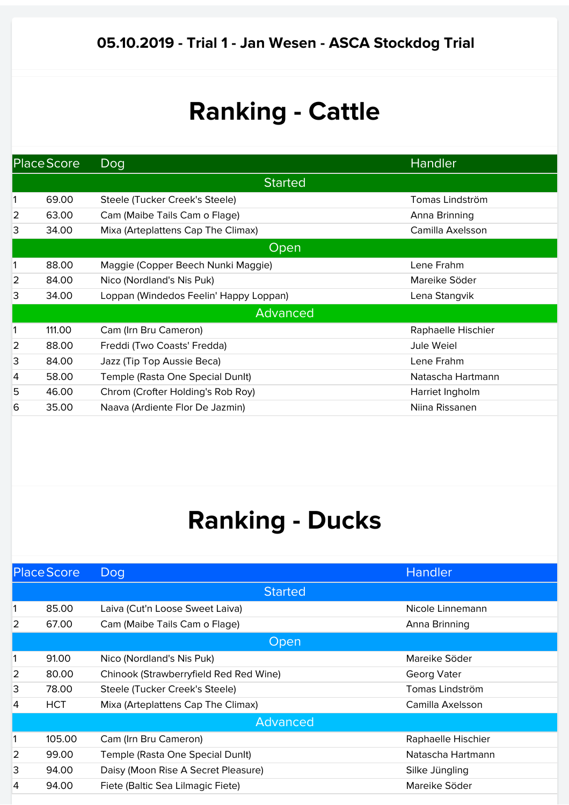|                | Place Score | Dog                                    | Handler            |  |  |
|----------------|-------------|----------------------------------------|--------------------|--|--|
|                |             | <b>Started</b>                         |                    |  |  |
|                | 69.00       | Steele (Tucker Creek's Steele)         | Tomas Lindström    |  |  |
| 2              | 63.00       | Cam (Maibe Tails Cam o Flage)          | Anna Brinning      |  |  |
| 3              | 34.00       | Mixa (Arteplattens Cap The Climax)     | Camilla Axelsson   |  |  |
|                |             | Open                                   |                    |  |  |
| 1              | 88.00       | Maggie (Copper Beech Nunki Maggie)     | Lene Frahm         |  |  |
| $\overline{2}$ | 84.00       | Nico (Nordland's Nis Puk)              | Mareike Söder      |  |  |
| 3              | 34.00       | Loppan (Windedos Feelin' Happy Loppan) | Lena Stangvik      |  |  |
|                | Advanced    |                                        |                    |  |  |
| 1              | 111.00      | Cam (Irn Bru Cameron)                  | Raphaelle Hischier |  |  |
| 2              | 88.00       | Freddi (Two Coasts' Fredda)            | Jule Weiel         |  |  |
| 3              | 84.00       | Jazz (Tip Top Aussie Beca)             | Lene Frahm         |  |  |
| 4              | 58.00       | Temple (Rasta One Special Dunit)       | Natascha Hartmann  |  |  |
| 5              | 46.00       | Chrom (Crofter Holding's Rob Roy)      | Harriet Ingholm    |  |  |
| 6              | 35.00       | Naava (Ardiente Flor De Jazmin)        | Niina Rissanen     |  |  |

|   | <b>Place Score</b> | Dog                                    | Handler            |  |  |
|---|--------------------|----------------------------------------|--------------------|--|--|
|   |                    | <b>Started</b>                         |                    |  |  |
|   | 85.00              | Laiva (Cut'n Loose Sweet Laiva)        | Nicole Linnemann   |  |  |
| 2 | 67.00              | Cam (Maibe Tails Cam o Flage)          | Anna Brinning      |  |  |
|   | Open               |                                        |                    |  |  |
|   | 91.00              | Nico (Nordland's Nis Puk)              | Mareike Söder      |  |  |
| 2 | 80.00              | Chinook (Strawberryfield Red Red Wine) | Georg Vater        |  |  |
| 3 | 78.00              | Steele (Tucker Creek's Steele)         | Tomas Lindström    |  |  |
| 4 | <b>HCT</b>         | Mixa (Arteplattens Cap The Climax)     | Camilla Axelsson   |  |  |
|   | Advanced           |                                        |                    |  |  |
|   | 105.00             | Cam (Irn Bru Cameron)                  | Raphaelle Hischier |  |  |
| 2 | 99.00              | Temple (Rasta One Special Dunit)       | Natascha Hartmann  |  |  |
| 3 | 94.00              | Daisy (Moon Rise A Secret Pleasure)    | Silke Jüngling     |  |  |
| 4 | 94.00              | Fiete (Baltic Sea Lilmagic Fiete)      | Mareike Söder      |  |  |
|   |                    |                                        |                    |  |  |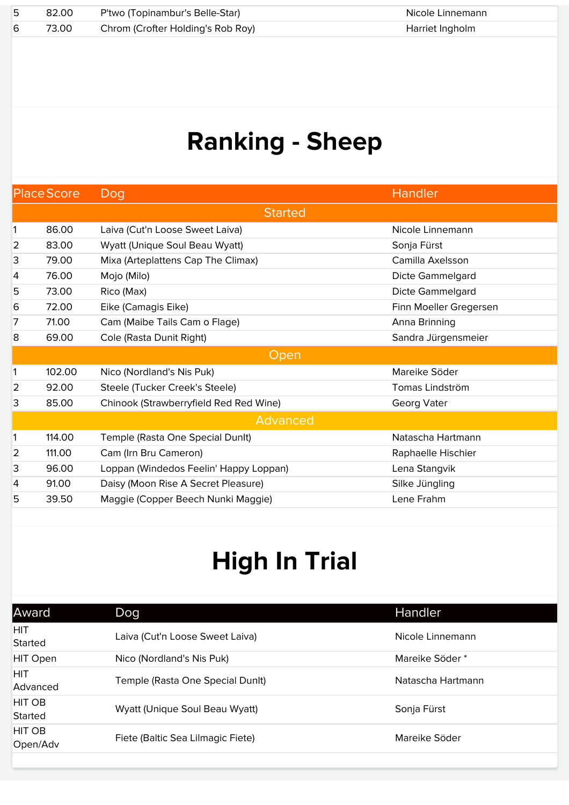| - 5 | 82.00 | P'two (Topinambur's Belle-Star)   | Nicole Linnemann |
|-----|-------|-----------------------------------|------------------|
|     | 73.00 | Chrom (Crofter Holding's Rob Roy) | Harriet Ingholm  |

| <b>Place Score</b> |        | Dog                                    | Handler                |
|--------------------|--------|----------------------------------------|------------------------|
|                    |        | <b>Started</b>                         |                        |
| 1                  | 86.00  | Laiva (Cut'n Loose Sweet Laiva)        | Nicole Linnemann       |
| $\overline{2}$     | 83.00  | Wyatt (Unique Soul Beau Wyatt)         | Sonja Fürst            |
| 3                  | 79.00  | Mixa (Arteplattens Cap The Climax)     | Camilla Axelsson       |
| 4                  | 76.00  | Mojo (Milo)                            | Dicte Gammelgard       |
| 5                  | 73.00  | Rico (Max)                             | Dicte Gammelgard       |
| 6                  | 72.00  | Eike (Camagis Eike)                    | Finn Moeller Gregersen |
| 7                  | 71.00  | Cam (Maibe Tails Cam o Flage)          | Anna Brinning          |
| 8                  | 69.00  | Cole (Rasta Dunit Right)               | Sandra Jürgensmeier    |
|                    |        | <b>Open</b>                            |                        |
| 1                  | 102.00 | Nico (Nordland's Nis Puk)              | Mareike Söder          |
| 2                  | 92.00  | Steele (Tucker Creek's Steele)         | Tomas Lindström        |
| 3                  | 85.00  | Chinook (Strawberryfield Red Red Wine) | Georg Vater            |
|                    |        | Advanced                               |                        |
| $\mathbf{1}$       | 114.00 | Temple (Rasta One Special Dunlt)       | Natascha Hartmann      |
| $\overline{2}$     | 111.00 | Cam (Irn Bru Cameron)                  | Raphaelle Hischier     |
| 3                  | 96.00  | Loppan (Windedos Feelin' Happy Loppan) | Lena Stangvik          |
| 4                  | 91.00  | Daisy (Moon Rise A Secret Pleasure)    | Silke Jüngling         |
| 5                  | 39.50  | Maggie (Copper Beech Nunki Maggie)     | Lene Frahm             |

| Award                     | Dog                               | Handler           |
|---------------------------|-----------------------------------|-------------------|
| <b>HIT</b><br>Started     | Laiva (Cut'n Loose Sweet Laiva)   | Nicole Linnemann  |
| <b>HIT Open</b>           | Nico (Nordland's Nis Puk)         | Mareike Söder*    |
| <b>HIT</b><br>Advanced    | Temple (Rasta One Special Dunit)  | Natascha Hartmann |
| <b>HIT OB</b><br>Started  | Wyatt (Unique Soul Beau Wyatt)    | Sonja Fürst       |
| <b>HIT OB</b><br>Open/Adv | Fiete (Baltic Sea Lilmagic Fiete) | Mareike Söder     |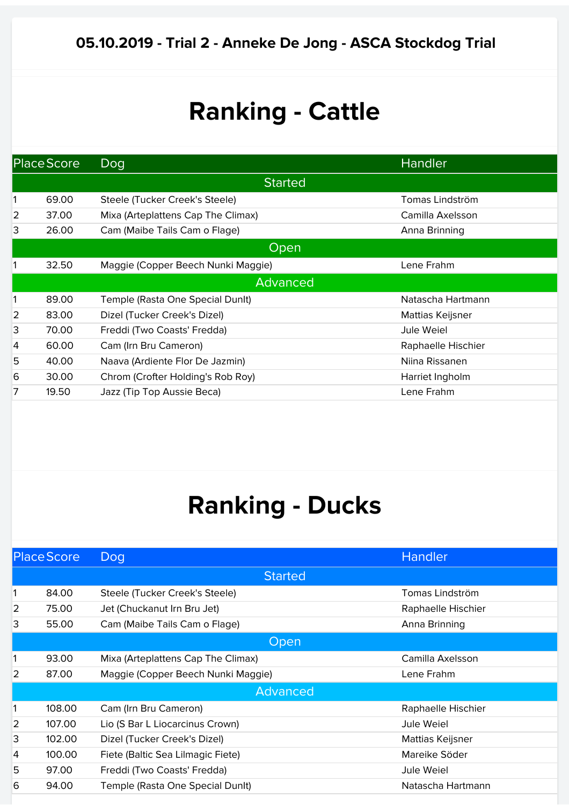| Place Score    |       | Dog                                | Handler            |  |  |
|----------------|-------|------------------------------------|--------------------|--|--|
|                |       | <b>Started</b>                     |                    |  |  |
| 1              | 69.00 | Steele (Tucker Creek's Steele)     | Tomas Lindström    |  |  |
| $\overline{2}$ | 37.00 | Mixa (Arteplattens Cap The Climax) | Camilla Axelsson   |  |  |
| 3              | 26.00 | Cam (Maibe Tails Cam o Flage)      | Anna Brinning      |  |  |
|                | Open  |                                    |                    |  |  |
| 1              | 32.50 | Maggie (Copper Beech Nunki Maggie) | Lene Frahm         |  |  |
|                |       | Advanced                           |                    |  |  |
| 1              | 89.00 | Temple (Rasta One Special Dunit)   | Natascha Hartmann  |  |  |
| $\overline{2}$ | 83.00 | Dizel (Tucker Creek's Dizel)       | Mattias Keijsner   |  |  |
| 3              | 70.00 | Freddi (Two Coasts' Fredda)        | Jule Weiel         |  |  |
| $\overline{4}$ | 60.00 | Cam (Irn Bru Cameron)              | Raphaelle Hischier |  |  |
| 5              | 40.00 | Naava (Ardiente Flor De Jazmin)    | Niina Rissanen     |  |  |
| 6              | 30.00 | Chrom (Crofter Holding's Rob Roy)  | Harriet Ingholm    |  |  |
| 7              | 19.50 | Jazz (Tip Top Aussie Beca)         | Lene Frahm         |  |  |

|   | <b>Place Score</b> | Dog                                | <b>Handler</b>     |
|---|--------------------|------------------------------------|--------------------|
|   |                    | <b>Started</b>                     |                    |
|   | 84.00              | Steele (Tucker Creek's Steele)     | Tomas Lindström    |
| 2 | 75.00              | Jet (Chuckanut Irn Bru Jet)        | Raphaelle Hischier |
| 3 | 55.00              | Cam (Maibe Tails Cam o Flage)      | Anna Brinning      |
|   |                    | Open                               |                    |
|   | 93.00              | Mixa (Arteplattens Cap The Climax) | Camilla Axelsson   |
| 2 | 87.00              | Maggie (Copper Beech Nunki Maggie) | Lene Frahm         |
|   |                    | Advanced                           |                    |
|   | 108.00             | Cam (Irn Bru Cameron)              | Raphaelle Hischier |
| 2 | 107.00             | Lio (S Bar L Liocarcinus Crown)    | Jule Weiel         |
| 3 | 102.00             | Dizel (Tucker Creek's Dizel)       | Mattias Keijsner   |
| 4 | 100.00             | Fiete (Baltic Sea Lilmagic Fiete)  | Mareike Söder      |
| 5 | 97.00              | Freddi (Two Coasts' Fredda)        | Jule Weiel         |
| 6 | 94.00              | Temple (Rasta One Special Dunit)   | Natascha Hartmann  |
|   |                    |                                    |                    |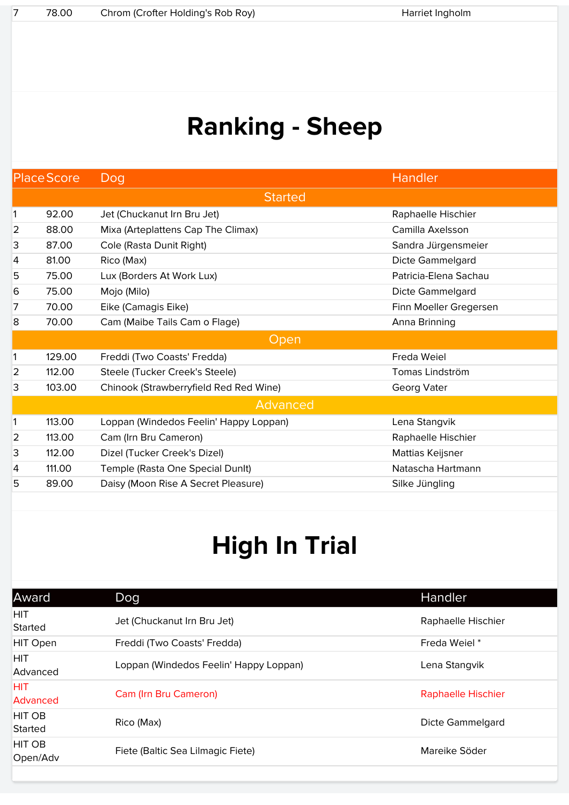| <b>Place Score</b> |                | Dog                                    | <b>Handler</b>         |  |  |  |
|--------------------|----------------|----------------------------------------|------------------------|--|--|--|
|                    | <b>Started</b> |                                        |                        |  |  |  |
| 1                  | 92.00          | Jet (Chuckanut Irn Bru Jet)            | Raphaelle Hischier     |  |  |  |
| 2                  | 88.00          | Mixa (Arteplattens Cap The Climax)     | Camilla Axelsson       |  |  |  |
| 3                  | 87.00          | Cole (Rasta Dunit Right)               | Sandra Jürgensmeier    |  |  |  |
| 4                  | 81.00          | Rico (Max)                             | Dicte Gammelgard       |  |  |  |
| 5                  | 75.00          | Lux (Borders At Work Lux)              | Patricia-Elena Sachau  |  |  |  |
| 6                  | 75.00          | Mojo (Milo)                            | Dicte Gammelgard       |  |  |  |
| 7                  | 70.00          | Eike (Camagis Eike)                    | Finn Moeller Gregersen |  |  |  |
| 8                  | 70.00          | Cam (Maibe Tails Cam o Flage)          | Anna Brinning          |  |  |  |
|                    |                | Open                                   |                        |  |  |  |
| 1                  | 129.00         | Freddi (Two Coasts' Fredda)            | Freda Weiel            |  |  |  |
| $\overline{2}$     | 112.00         | Steele (Tucker Creek's Steele)         | Tomas Lindström        |  |  |  |
| 3                  | 103.00         | Chinook (Strawberryfield Red Red Wine) | Georg Vater            |  |  |  |
|                    |                | Advanced                               |                        |  |  |  |
| 1                  | 113.00         | Loppan (Windedos Feelin' Happy Loppan) | Lena Stangvik          |  |  |  |
| $\overline{2}$     | 113.00         | Cam (Irn Bru Cameron)                  | Raphaelle Hischier     |  |  |  |
| 3                  | 112.00         | Dizel (Tucker Creek's Dizel)           | Mattias Keijsner       |  |  |  |
| 4                  | 111.00         | Temple (Rasta One Special Dunit)       | Natascha Hartmann      |  |  |  |
| 5                  | 89.00          | Daisy (Moon Rise A Secret Pleasure)    | Silke Jüngling         |  |  |  |

| Award                         | Dog                                    | Handler                   |
|-------------------------------|----------------------------------------|---------------------------|
| <b>HIT</b><br>Started         | Jet (Chuckanut Irn Bru Jet)            | Raphaelle Hischier        |
| <b>HIT Open</b>               | Freddi (Two Coasts' Fredda)            | Freda Weiel*              |
| <b>HIT</b><br>Advanced        | Loppan (Windedos Feelin' Happy Loppan) | Lena Stangvik             |
| <b>HIT</b><br><b>Advanced</b> | Cam (Irn Bru Cameron)                  | <b>Raphaelle Hischier</b> |
| HIT OB<br>Started             | Rico (Max)                             | Dicte Gammelgard          |
| <b>HIT OB</b><br>Open/Adv     | Fiete (Baltic Sea Lilmagic Fiete)      | Mareike Söder             |
|                               |                                        |                           |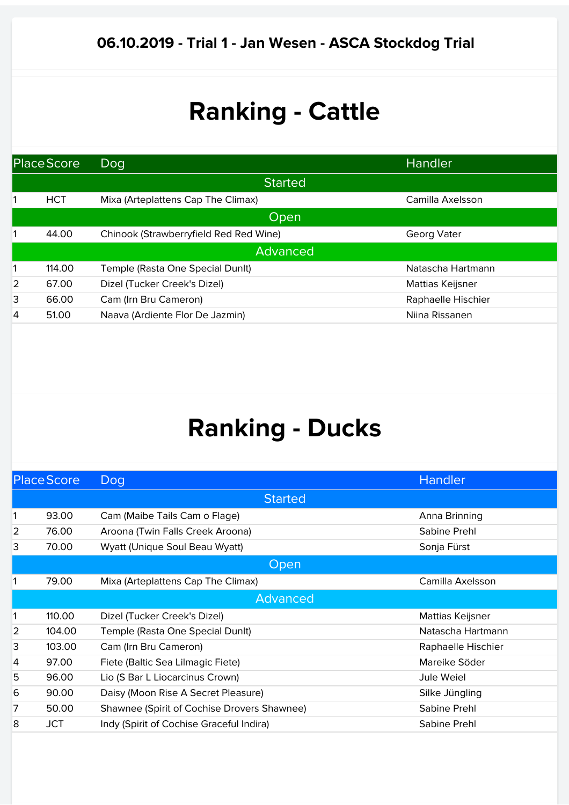| Place Score |            | Dog                                    | <b>Handler</b>     |
|-------------|------------|----------------------------------------|--------------------|
|             |            | <b>Started</b>                         |                    |
|             | <b>HCT</b> | Mixa (Arteplattens Cap The Climax)     | Camilla Axelsson   |
|             |            | Open                                   |                    |
|             | 44.00      | Chinook (Strawberryfield Red Red Wine) | Georg Vater        |
|             |            | <b>Advanced</b>                        |                    |
|             | 114.00     | Temple (Rasta One Special Dunit)       | Natascha Hartmann  |
| 2           | 67.00      | Dizel (Tucker Creek's Dizel)           | Mattias Keijsner   |
| 3           | 66.00      | Cam (Irn Bru Cameron)                  | Raphaelle Hischier |
| 4           | 51.00      | Naava (Ardiente Flor De Jazmin)        | Niina Rissanen     |
|             |            |                                        |                    |

| <b>Place Score</b> |            | Dog                                         | Handler            |
|--------------------|------------|---------------------------------------------|--------------------|
|                    |            | <b>Started</b>                              |                    |
| 1                  | 93.00      | Cam (Maibe Tails Cam o Flage)               | Anna Brinning      |
| 2                  | 76.00      | Aroona (Twin Falls Creek Aroona)            | Sabine Prehl       |
| 3                  | 70.00      | Wyatt (Unique Soul Beau Wyatt)              | Sonja Fürst        |
|                    |            | Open                                        |                    |
| 1                  | 79.00      | Mixa (Arteplattens Cap The Climax)          | Camilla Axelsson   |
|                    |            | Advanced                                    |                    |
| 1                  | 110.00     | Dizel (Tucker Creek's Dizel)                | Mattias Keijsner   |
| $\overline{2}$     | 104.00     | Temple (Rasta One Special Dunit)            | Natascha Hartmann  |
| 3                  | 103.00     | Cam (Irn Bru Cameron)                       | Raphaelle Hischier |
| 4                  | 97.00      | Fiete (Baltic Sea Lilmagic Fiete)           | Mareike Söder      |
| 5                  | 96.00      | Lio (S Bar L Liocarcinus Crown)             | Jule Weiel         |
| 6                  | 90.00      | Daisy (Moon Rise A Secret Pleasure)         | Silke Jüngling     |
| 7                  | 50.00      | Shawnee (Spirit of Cochise Drovers Shawnee) | Sabine Prehl       |
| 8                  | <b>JCT</b> | Indy (Spirit of Cochise Graceful Indira)    | Sabine Prehl       |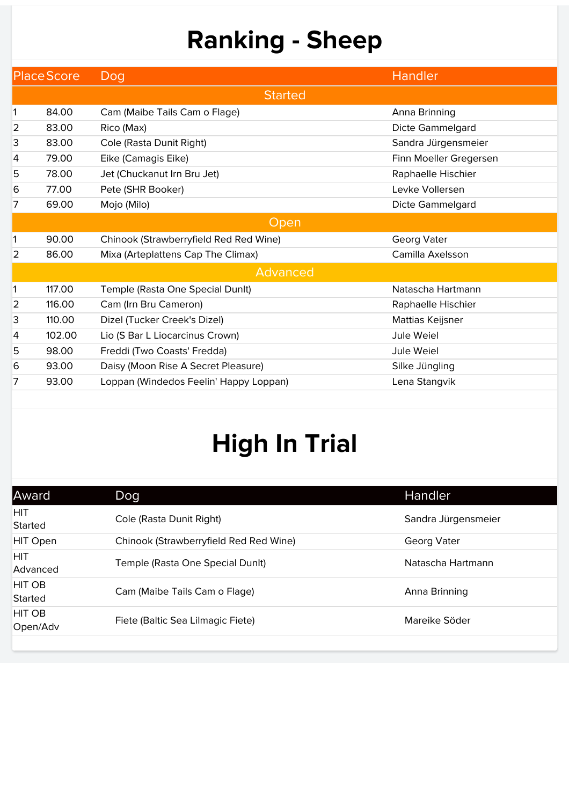|   | <b>Place Score</b> | Dog                                    | <b>Handler</b>         |  |  |  |
|---|--------------------|----------------------------------------|------------------------|--|--|--|
|   | <b>Started</b>     |                                        |                        |  |  |  |
| 1 | 84.00              | Cam (Maibe Tails Cam o Flage)          | Anna Brinning          |  |  |  |
| 2 | 83.00              | Rico (Max)                             | Dicte Gammelgard       |  |  |  |
| 3 | 83.00              | Cole (Rasta Dunit Right)               | Sandra Jürgensmeier    |  |  |  |
| 4 | 79.00              | Eike (Camagis Eike)                    | Finn Moeller Gregersen |  |  |  |
| 5 | 78.00              | Jet (Chuckanut Irn Bru Jet)            | Raphaelle Hischier     |  |  |  |
| 6 | 77.00              | Pete (SHR Booker)                      | Levke Vollersen        |  |  |  |
| 7 | 69.00              | Mojo (Milo)                            | Dicte Gammelgard       |  |  |  |
|   |                    | Open                                   |                        |  |  |  |
| 1 | 90.00              | Chinook (Strawberryfield Red Red Wine) | Georg Vater            |  |  |  |
| 2 | 86.00              | Mixa (Arteplattens Cap The Climax)     | Camilla Axelsson       |  |  |  |
|   |                    | Advanced                               |                        |  |  |  |
| 1 | 117.00             | Temple (Rasta One Special Dunlt)       | Natascha Hartmann      |  |  |  |
| 2 | 116.00             | Cam (Irn Bru Cameron)                  | Raphaelle Hischier     |  |  |  |
| 3 | 110.00             | Dizel (Tucker Creek's Dizel)           | Mattias Keijsner       |  |  |  |
| 4 | 102.00             | Lio (S Bar L Liocarcinus Crown)        | Jule Weiel             |  |  |  |
| 5 | 98.00              | Freddi (Two Coasts' Fredda)            | <b>Jule Weiel</b>      |  |  |  |
| 6 | 93.00              | Daisy (Moon Rise A Secret Pleasure)    | Silke Jüngling         |  |  |  |
| 7 | 93.00              | Loppan (Windedos Feelin' Happy Loppan) | Lena Stangvik          |  |  |  |
|   |                    |                                        |                        |  |  |  |

| Award                           | Dog                                    | Handler             |
|---------------------------------|----------------------------------------|---------------------|
| <b>HIT</b><br>Started           | Cole (Rasta Dunit Right)               | Sandra Jürgensmeier |
| <b>HIT Open</b>                 | Chinook (Strawberryfield Red Red Wine) | Georg Vater         |
| <b>HIT</b><br>Advanced          | Temple (Rasta One Special Dunit)       | Natascha Hartmann   |
| <b>HIT OB</b><br><b>Started</b> | Cam (Maibe Tails Cam o Flage)          | Anna Brinning       |
| <b>HIT OB</b><br>Open/Adv       | Fiete (Baltic Sea Lilmagic Fiete)      | Mareike Söder       |
|                                 |                                        |                     |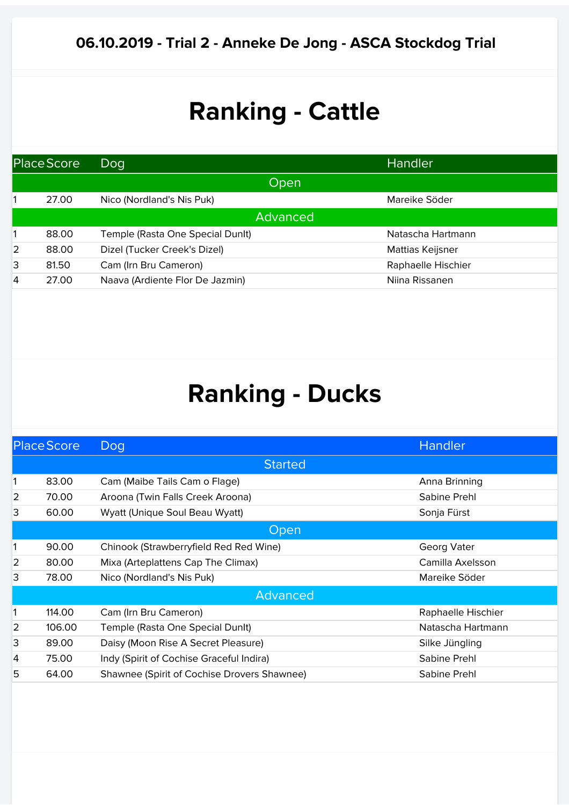| Place Score ,  |       | Dog                              | Handler            |
|----------------|-------|----------------------------------|--------------------|
|                |       | <b>Open</b>                      |                    |
|                | 27.00 | Nico (Nordland's Nis Puk)        | Mareike Söder      |
|                |       | Advanced                         |                    |
|                | 88.00 | Temple (Rasta One Special Dunit) | Natascha Hartmann  |
| $\overline{2}$ | 88.00 | Dizel (Tucker Creek's Dizel)     | Mattias Keijsner   |
| 3              | 81.50 | Cam (Irn Bru Cameron)            | Raphaelle Hischier |
| 4              | 27.00 | Naava (Ardiente Flor De Jazmin)  | Niina Rissanen     |

| <b>Started</b><br>83.00<br>Cam (Maibe Tails Cam o Flage)<br>Anna Brinning<br>2<br>70.00<br>Aroona (Twin Falls Creek Aroona)<br>Sabine Prehl<br>3<br>60.00<br>Wyatt (Unique Soul Beau Wyatt)<br>Sonja Fürst<br>Open<br>90.00<br>Chinook (Strawberryfield Red Red Wine)<br>Georg Vater<br>2<br>80.00<br>Camilla Axelsson<br>Mixa (Arteplattens Cap The Climax)<br>3<br>78.00<br>Nico (Nordland's Nis Puk)<br>Mareike Söder<br>Advanced<br>114.00<br>Cam (Irn Bru Cameron)<br>Raphaelle Hischier<br>2<br>106.00<br>Natascha Hartmann<br>Temple (Rasta One Special Dunit)<br>3<br>89.00<br>Daisy (Moon Rise A Secret Pleasure)<br>Silke Jüngling<br>75.00<br>Indy (Spirit of Cochise Graceful Indira)<br>Sabine Prehl<br>4<br>5<br>64.00<br>Shawnee (Spirit of Cochise Drovers Shawnee)<br>Sabine Prehl | <b>Place Score</b> |  | Dog | Handler |  |  |
|-----------------------------------------------------------------------------------------------------------------------------------------------------------------------------------------------------------------------------------------------------------------------------------------------------------------------------------------------------------------------------------------------------------------------------------------------------------------------------------------------------------------------------------------------------------------------------------------------------------------------------------------------------------------------------------------------------------------------------------------------------------------------------------------------------|--------------------|--|-----|---------|--|--|
|                                                                                                                                                                                                                                                                                                                                                                                                                                                                                                                                                                                                                                                                                                                                                                                                     |                    |  |     |         |  |  |
|                                                                                                                                                                                                                                                                                                                                                                                                                                                                                                                                                                                                                                                                                                                                                                                                     |                    |  |     |         |  |  |
|                                                                                                                                                                                                                                                                                                                                                                                                                                                                                                                                                                                                                                                                                                                                                                                                     |                    |  |     |         |  |  |
|                                                                                                                                                                                                                                                                                                                                                                                                                                                                                                                                                                                                                                                                                                                                                                                                     |                    |  |     |         |  |  |
|                                                                                                                                                                                                                                                                                                                                                                                                                                                                                                                                                                                                                                                                                                                                                                                                     |                    |  |     |         |  |  |
|                                                                                                                                                                                                                                                                                                                                                                                                                                                                                                                                                                                                                                                                                                                                                                                                     |                    |  |     |         |  |  |
|                                                                                                                                                                                                                                                                                                                                                                                                                                                                                                                                                                                                                                                                                                                                                                                                     |                    |  |     |         |  |  |
|                                                                                                                                                                                                                                                                                                                                                                                                                                                                                                                                                                                                                                                                                                                                                                                                     |                    |  |     |         |  |  |
|                                                                                                                                                                                                                                                                                                                                                                                                                                                                                                                                                                                                                                                                                                                                                                                                     |                    |  |     |         |  |  |
|                                                                                                                                                                                                                                                                                                                                                                                                                                                                                                                                                                                                                                                                                                                                                                                                     |                    |  |     |         |  |  |
|                                                                                                                                                                                                                                                                                                                                                                                                                                                                                                                                                                                                                                                                                                                                                                                                     |                    |  |     |         |  |  |
|                                                                                                                                                                                                                                                                                                                                                                                                                                                                                                                                                                                                                                                                                                                                                                                                     |                    |  |     |         |  |  |
|                                                                                                                                                                                                                                                                                                                                                                                                                                                                                                                                                                                                                                                                                                                                                                                                     |                    |  |     |         |  |  |
|                                                                                                                                                                                                                                                                                                                                                                                                                                                                                                                                                                                                                                                                                                                                                                                                     |                    |  |     |         |  |  |